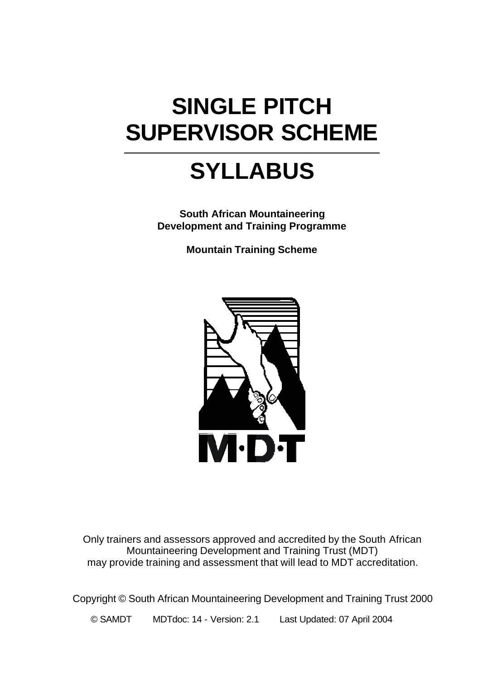# **SINGLE PITCH SUPERVISOR SCHEME**

# **SYLLABUS**

**South African Mountaineering Development and Training Programme**

**Mountain Training Scheme**



Only trainers and assessors approved and accredited by the South African Mountaineering Development and Training Trust (MDT) may provide training and assessment that will lead to MDT accreditation.

Copyright © South African Mountaineering Development and Training Trust 2000

© SAMDT MDTdoc: 14 - Version: 2.1 Last Updated: 07 April 2004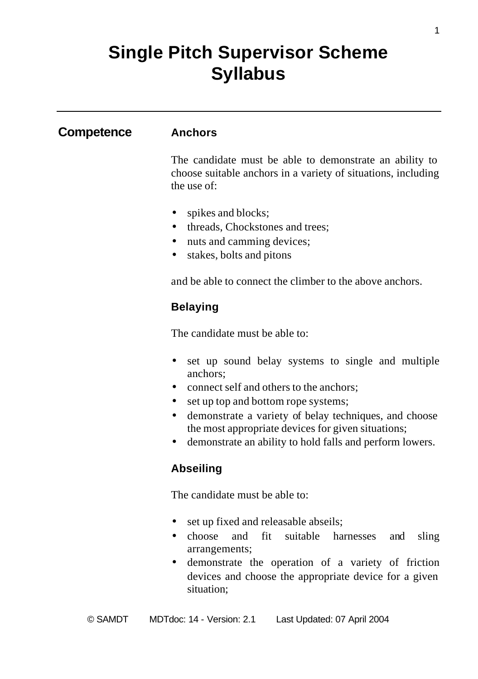# **Single Pitch Supervisor Scheme Syllabus**

## **Competence Anchors**

The candidate must be able to demonstrate an ability to choose suitable anchors in a variety of situations, including the use of:

- spikes and blocks;
- threads, Chockstones and trees;
- nuts and camming devices;
- stakes, bolts and pitons

and be able to connect the climber to the above anchors.

### **Belaying**

The candidate must be able to:

- set up sound belay systems to single and multiple anchors;
- connect self and others to the anchors:
- set up top and bottom rope systems;
- demonstrate a variety of belay techniques, and choose the most appropriate devices for given situations;
- demonstrate an ability to hold falls and perform lowers.

### **Abseiling**

The candidate must be able to:

- set up fixed and releasable abseils;
- choose and fit suitable harnesses and sling arrangements;
- demonstrate the operation of a variety of friction devices and choose the appropriate device for a given situation;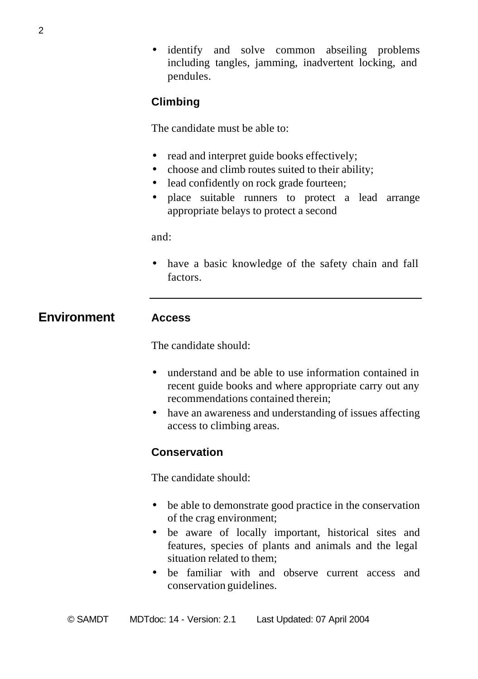• identify and solve common abseiling problems including tangles, jamming, inadvertent locking, and pendules.

# **Climbing**

The candidate must be able to:

- read and interpret guide books effectively;
- choose and climb routes suited to their ability;
- lead confidently on rock grade fourteen;
- place suitable runners to protect a lead arrange appropriate belays to protect a second

and:

• have a basic knowledge of the safety chain and fall factors.

**Environment Access**

# The candidate should:

- understand and be able to use information contained in recent guide books and where appropriate carry out any recommendations contained therein;
- have an awareness and understanding of issues affecting access to climbing areas.

# **Conservation**

The candidate should:

- be able to demonstrate good practice in the conservation of the crag environment;
- be aware of locally important, historical sites and features, species of plants and animals and the legal situation related to them;
- be familiar with and observe current access and conservation guidelines.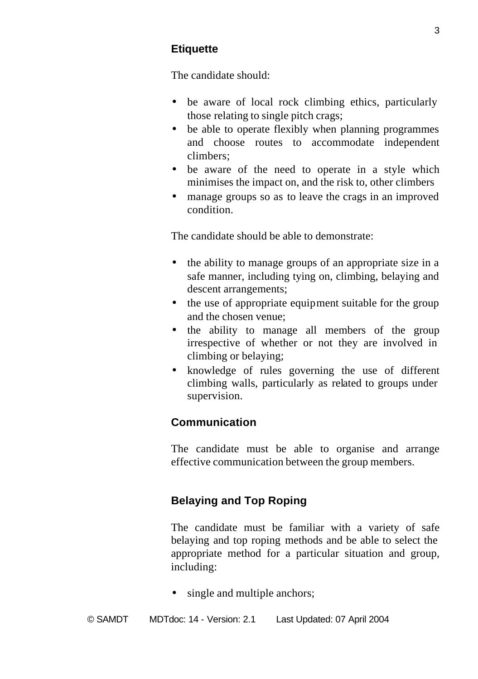# **Etiquette**

The candidate should:

- be aware of local rock climbing ethics, particularly those relating to single pitch crags;
- be able to operate flexibly when planning programmes and choose routes to accommodate independent climbers;
- be aware of the need to operate in a style which minimises the impact on, and the risk to, other climbers
- manage groups so as to leave the crags in an improved condition.

The candidate should be able to demonstrate:

- the ability to manage groups of an appropriate size in a safe manner, including tying on, climbing, belaying and descent arrangements;
- the use of appropriate equipment suitable for the group and the chosen venue;
- the ability to manage all members of the group irrespective of whether or not they are involved in climbing or belaying;
- knowledge of rules governing the use of different climbing walls, particularly as related to groups under supervision.

# **Communication**

The candidate must be able to organise and arrange effective communication between the group members.

# **Belaying and Top Roping**

The candidate must be familiar with a variety of safe belaying and top roping methods and be able to select the appropriate method for a particular situation and group, including:

single and multiple anchors;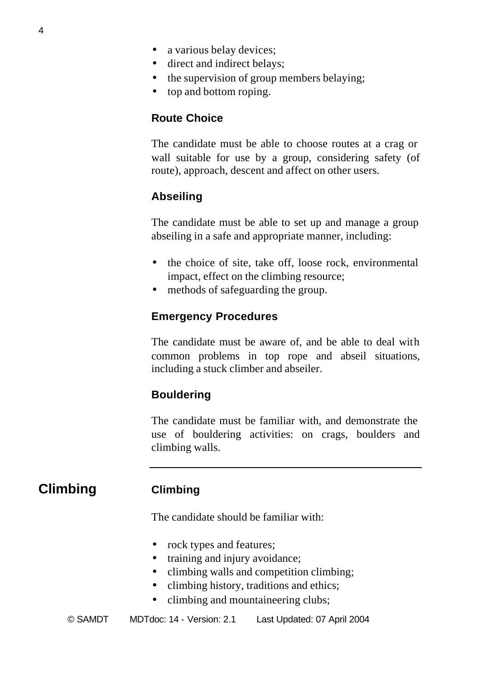- a various belay devices;
- direct and indirect belays;
- the supervision of group members belaying;
- top and bottom roping.

#### **Route Choice**

The candidate must be able to choose routes at a crag or wall suitable for use by a group, considering safety (of route), approach, descent and affect on other users.

## **Abseiling**

The candidate must be able to set up and manage a group abseiling in a safe and appropriate manner, including:

- the choice of site, take off, loose rock, environmental impact, effect on the climbing resource;
- methods of safeguarding the group.

#### **Emergency Procedures**

The candidate must be aware of, and be able to deal with common problems in top rope and abseil situations, including a stuck climber and abseiler.

#### **Bouldering**

The candidate must be familiar with, and demonstrate the use of bouldering activities: on crags, boulders and climbing walls.

# **Climbing Climbing**

The candidate should be familiar with:

- rock types and features;
- training and injury avoidance;
- climbing walls and competition climbing;
- climbing history, traditions and ethics;
- climbing and mountaineering clubs;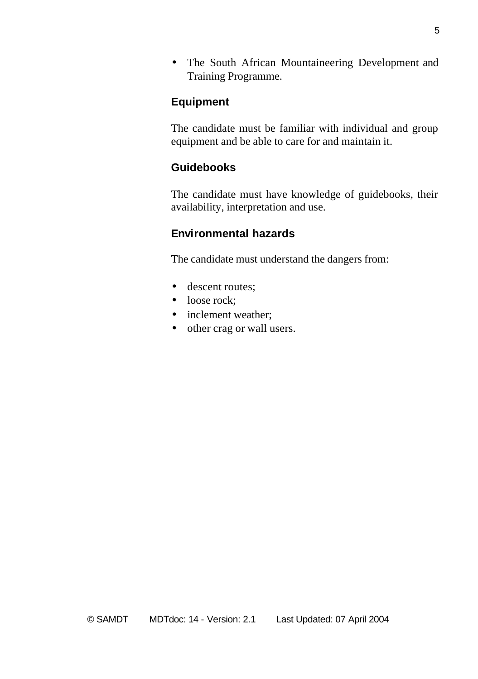• The South African Mountaineering Development and Training Programme.

#### **Equipment**

The candidate must be familiar with individual and group equipment and be able to care for and maintain it.

## **Guidebooks**

The candidate must have knowledge of guidebooks, their availability, interpretation and use.

#### **Environmental hazards**

The candidate must understand the dangers from:

- descent routes;
- loose rock:
- inclement weather:
- other crag or wall users.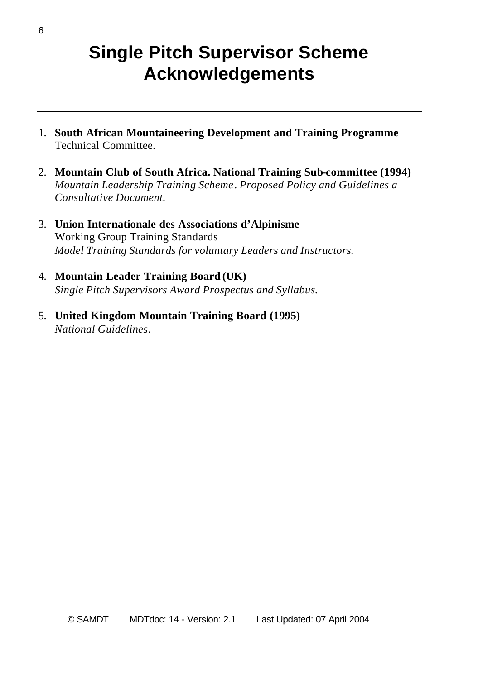# **Single Pitch Supervisor Scheme Acknowledgements**

- 1. **South African Mountaineering Development and Training Programme** Technical Committee.
- 2. **Mountain Club of South Africa. National Training Sub-committee (1994)** *Mountain Leadership Training Scheme*. *Proposed Policy and Guidelines a Consultative Document.*
- 3. **Union Internationale des Associations d'Alpinisme** Working Group Training Standards *Model Training Standards for voluntary Leaders and Instructors.*
- 4. **Mountain Leader Training Board (UK)** *Single Pitch Supervisors Award Prospectus and Syllabus.*
- 5. **United Kingdom Mountain Training Board (1995)** *National Guidelines*.